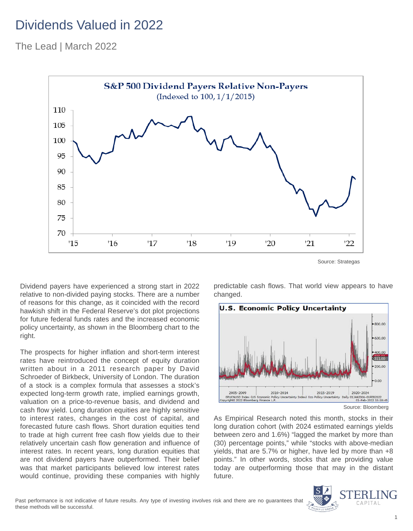## Dividends Valued in 2022

The Lead | March 2022



Dividend payers have experienced a strong start in 2022 relative to non-divided paying stocks. There are a number of reasons for this change, as it coincided with the record hawkish shift in the Federal Reserve's dot plot projections for future federal funds rates and the increased economic policy uncertainty, as shown in the Bloomberg chart to the right.

The prospects for higher inflation and short-term interest rates have reintroduced the concept of equity duration written about in a 2011 research paper by David Schroeder of Birkbeck, University of London. The duration of a stock is a complex formula that assesses a stock's expected long-term growth rate, implied earnings growth, valuation on a price-to-revenue basis, and dividend and cash flow yield. Long duration equities are highly sensitive to interest rates, changes in the cost of capital, and forecasted future cash flows. Short duration equities tend to trade at high current free cash flow yields due to their relatively uncertain cash flow generation and influence of interest rates. In recent years, long duration equities that are not dividend payers have outperformed. Their belief was that market participants believed low interest rates would continue, providing these companies with highly predictable cash flows. That world view appears to have changed.



As Empirical Research noted this month, stocks in their long duration cohort (with 2024 estimated earnings yields between zero and 1.6%) "lagged the market by more than (30) percentage points," while "stocks with above-median yields, that are 5.7% or higher, have led by more than +8 points." In other words, stocks that are providing value today are outperforming those that may in the distant future.

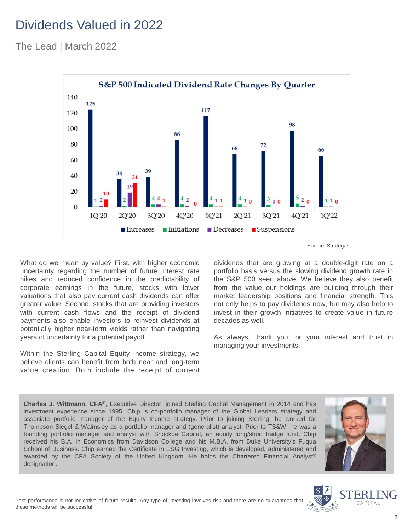## Dividends Valued in 2022

The Lead | March 2022



What do we mean by value? First, with higher economic uncertainty regarding the number of future interest rate hikes and reduced confidence in the predictability of corporate earnings in the future, stocks with lower valuations that also pay current cash dividends can offer greater value. Second, stocks that are providing investors with current cash flows and the receipt of dividend payments also enable investors to reinvest dividends at potentially higher near-term yields rather than navigating years of uncertainty for a potential payoff.

Within the Sterling Capital Equity Income strategy, we believe clients can benefit from both near and long-term value creation. Both include the receipt of current Source: Strategas

dividends that are growing at a double-digit rate on a portfolio basis versus the slowing dividend growth rate in the S&P 500 seen above. We believe they also benefit from the value our holdings are building through their market leadership positions and financial strength. This not only helps to pay dividends now, but may also help to invest in their growth initiatives to create value in future decades as well.

As always, thank you for your interest and trust in managing your investments.

**Charles J. Wittmann, CFA®**, Executive Director, joined Sterling Capital Management in 2014 and has investment experience since 1995. Chip is co-portfolio manager of the Global Leaders strategy and associate portfolio manager of the Equity Income strategy. Prior to joining Sterling, he worked for Thompson Siegel & Walmsley as a portfolio manager and (generalist) analyst. Prior to TS&W, he was a founding portfolio manager and analyst with Shockoe Capital, an equity long/short hedge fund. Chip received his B.A. in Economics from Davidson College and his M.B.A. from Duke University's Fuqua School of Business. Chip earned the Certificate in ESG Investing, which is developed, administered and awarded by the CFA Society of the United Kingdom. He holds the Chartered Financial Analyst® designation.